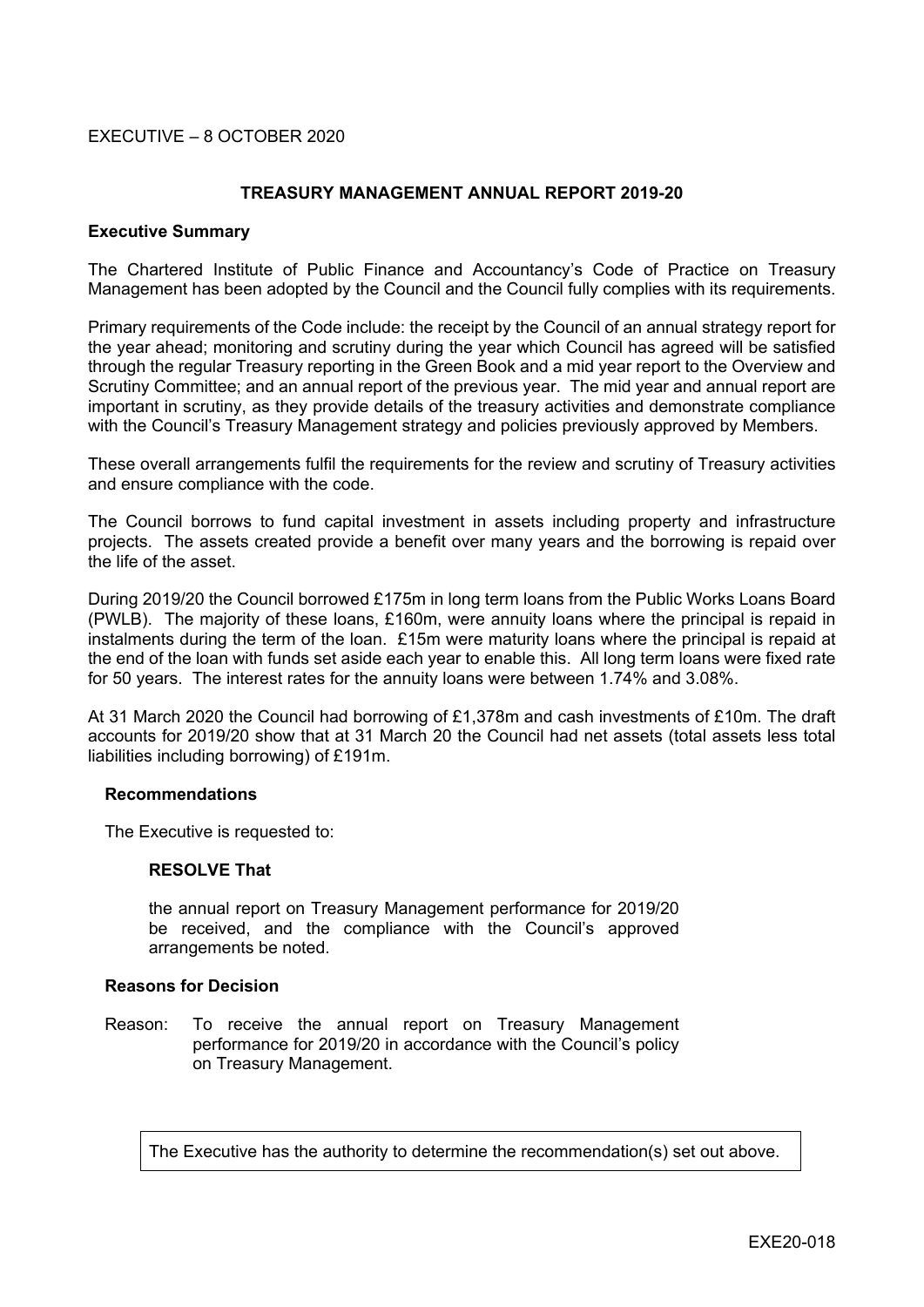## EXECUTIVE – 8 OCTOBER 2020

### **TREASURY MANAGEMENT ANNUAL REPORT 2019-20**

#### **Executive Summary**

The Chartered Institute of Public Finance and Accountancy's Code of Practice on Treasury Management has been adopted by the Council and the Council fully complies with its requirements.

Primary requirements of the Code include: the receipt by the Council of an annual strategy report for the year ahead; monitoring and scrutiny during the year which Council has agreed will be satisfied through the regular Treasury reporting in the Green Book and a mid year report to the Overview and Scrutiny Committee; and an annual report of the previous year. The mid year and annual report are important in scrutiny, as they provide details of the treasury activities and demonstrate compliance with the Council's Treasury Management strategy and policies previously approved by Members.

These overall arrangements fulfil the requirements for the review and scrutiny of Treasury activities and ensure compliance with the code.

The Council borrows to fund capital investment in assets including property and infrastructure projects. The assets created provide a benefit over many years and the borrowing is repaid over the life of the asset.

During 2019/20 the Council borrowed £175m in long term loans from the Public Works Loans Board (PWLB). The majority of these loans, £160m, were annuity loans where the principal is repaid in instalments during the term of the loan. £15m were maturity loans where the principal is repaid at the end of the loan with funds set aside each year to enable this. All long term loans were fixed rate for 50 years. The interest rates for the annuity loans were between 1.74% and 3.08%.

At 31 March 2020 the Council had borrowing of £1,378m and cash investments of £10m. The draft accounts for 2019/20 show that at 31 March 20 the Council had net assets (total assets less total liabilities including borrowing) of £191m.

#### **Recommendations**

The Executive is requested to:

#### **RESOLVE That**

the annual report on Treasury Management performance for 2019/20 be received, and the compliance with the Council's approved arrangements be noted.

#### **Reasons for Decision**

Reason: To receive the annual report on Treasury Management performance for 2019/20 in accordance with the Council's policy on Treasury Management.

The Executive has the authority to determine the recommendation(s) set out above.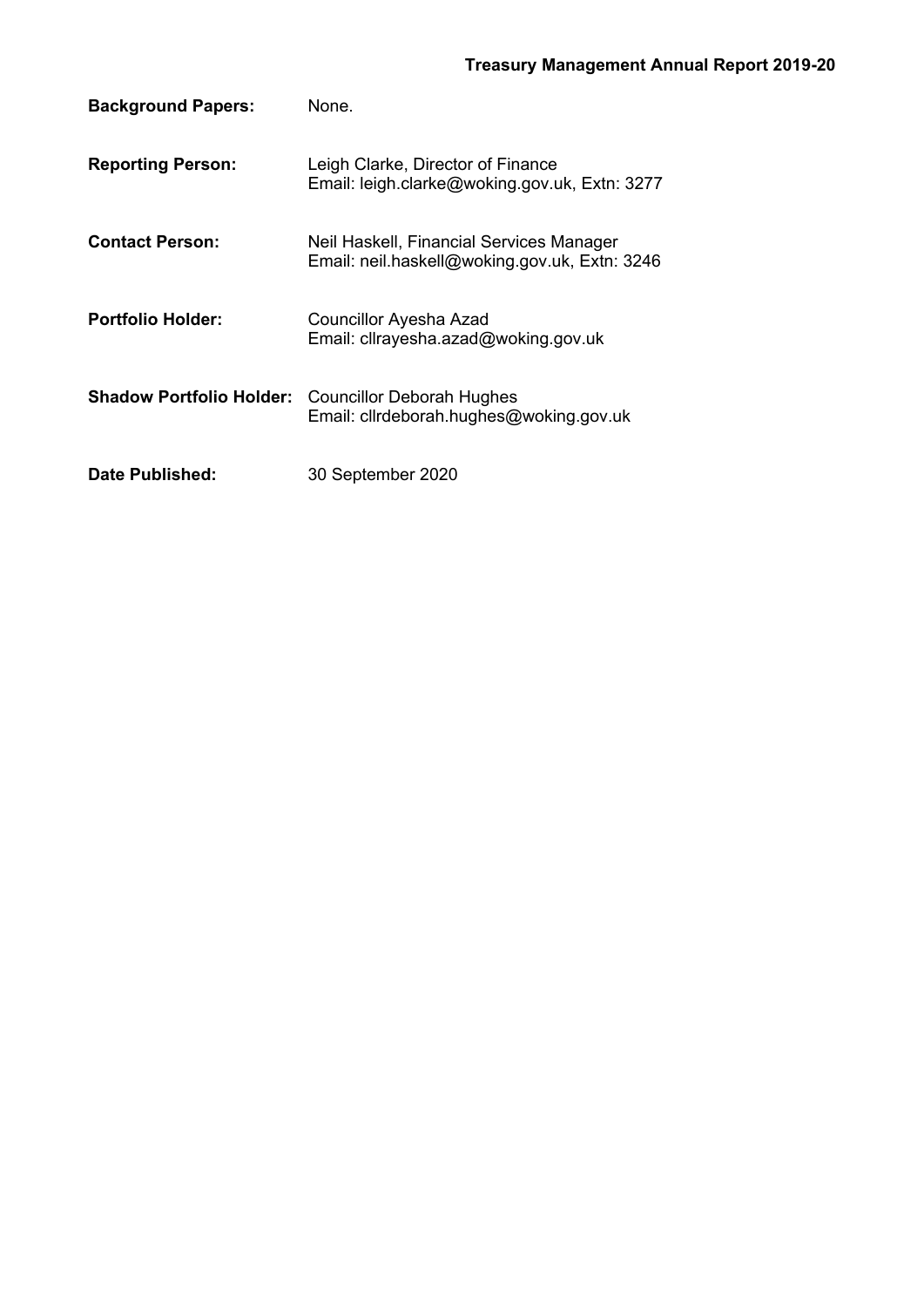| <b>Background Papers:</b>       | None.                                                                                     |
|---------------------------------|-------------------------------------------------------------------------------------------|
| <b>Reporting Person:</b>        | Leigh Clarke, Director of Finance<br>Email: leigh.clarke@woking.gov.uk, Extn: 3277        |
| <b>Contact Person:</b>          | Neil Haskell, Financial Services Manager<br>Email: neil.haskell@woking.gov.uk, Extn: 3246 |
| <b>Portfolio Holder:</b>        | <b>Councillor Ayesha Azad</b><br>Email: cllrayesha.azad@woking.gov.uk                     |
| <b>Shadow Portfolio Holder:</b> | <b>Councillor Deborah Hughes</b><br>Email: cllrdeborah.hughes@woking.gov.uk               |
| Date Published:                 | 30 September 2020                                                                         |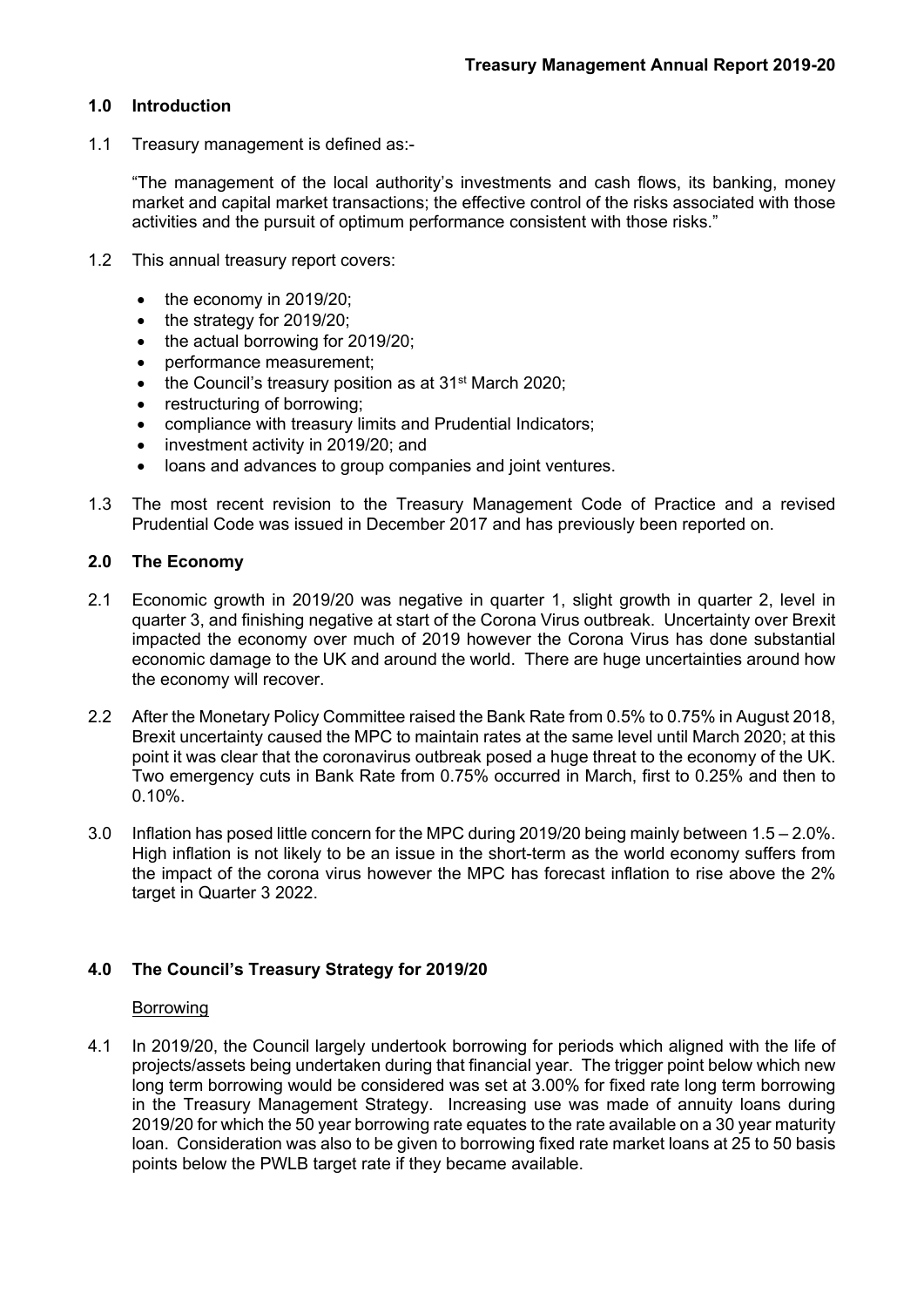# **1.0 Introduction**

1.1 Treasury management is defined as:-

"The management of the local authority's investments and cash flows, its banking, money market and capital market transactions; the effective control of the risks associated with those activities and the pursuit of optimum performance consistent with those risks."

- 1.2 This annual treasury report covers:
	- $\bullet$  the economy in 2019/20;
	- the strategy for 2019/20:
	- the actual borrowing for 2019/20:
	- performance measurement;
	- the Council's treasury position as at 31<sup>st</sup> March 2020;
	- restructuring of borrowing;
	- compliance with treasury limits and Prudential Indicators;
	- investment activity in 2019/20; and
	- loans and advances to group companies and joint ventures.
- 1.3 The most recent revision to the Treasury Management Code of Practice and a revised Prudential Code was issued in December 2017 and has previously been reported on.

# **2.0 The Economy**

- 2.1 Economic growth in 2019/20 was negative in quarter 1, slight growth in quarter 2, level in quarter 3, and finishing negative at start of the Corona Virus outbreak. Uncertainty over Brexit impacted the economy over much of 2019 however the Corona Virus has done substantial economic damage to the UK and around the world. There are huge uncertainties around how the economy will recover.
- 2.2 After the Monetary Policy Committee raised the Bank Rate from 0.5% to 0.75% in August 2018, Brexit uncertainty caused the MPC to maintain rates at the same level until March 2020; at this point it was clear that the coronavirus outbreak posed a huge threat to the economy of the UK. Two emergency cuts in Bank Rate from 0.75% occurred in March, first to 0.25% and then to 0.10%.
- 3.0 Inflation has posed little concern for the MPC during 2019/20 being mainly between 1.5 2.0%. High inflation is not likely to be an issue in the short-term as the world economy suffers from the impact of the corona virus however the MPC has forecast inflation to rise above the 2% target in Quarter 3 2022.

# **4.0 The Council's Treasury Strategy for 2019/20**

#### Borrowing

4.1 In 2019/20, the Council largely undertook borrowing for periods which aligned with the life of projects/assets being undertaken during that financial year. The trigger point below which new long term borrowing would be considered was set at 3.00% for fixed rate long term borrowing in the Treasury Management Strategy. Increasing use was made of annuity loans during 2019/20 for which the 50 year borrowing rate equates to the rate available on a 30 year maturity loan. Consideration was also to be given to borrowing fixed rate market loans at 25 to 50 basis points below the PWLB target rate if they became available.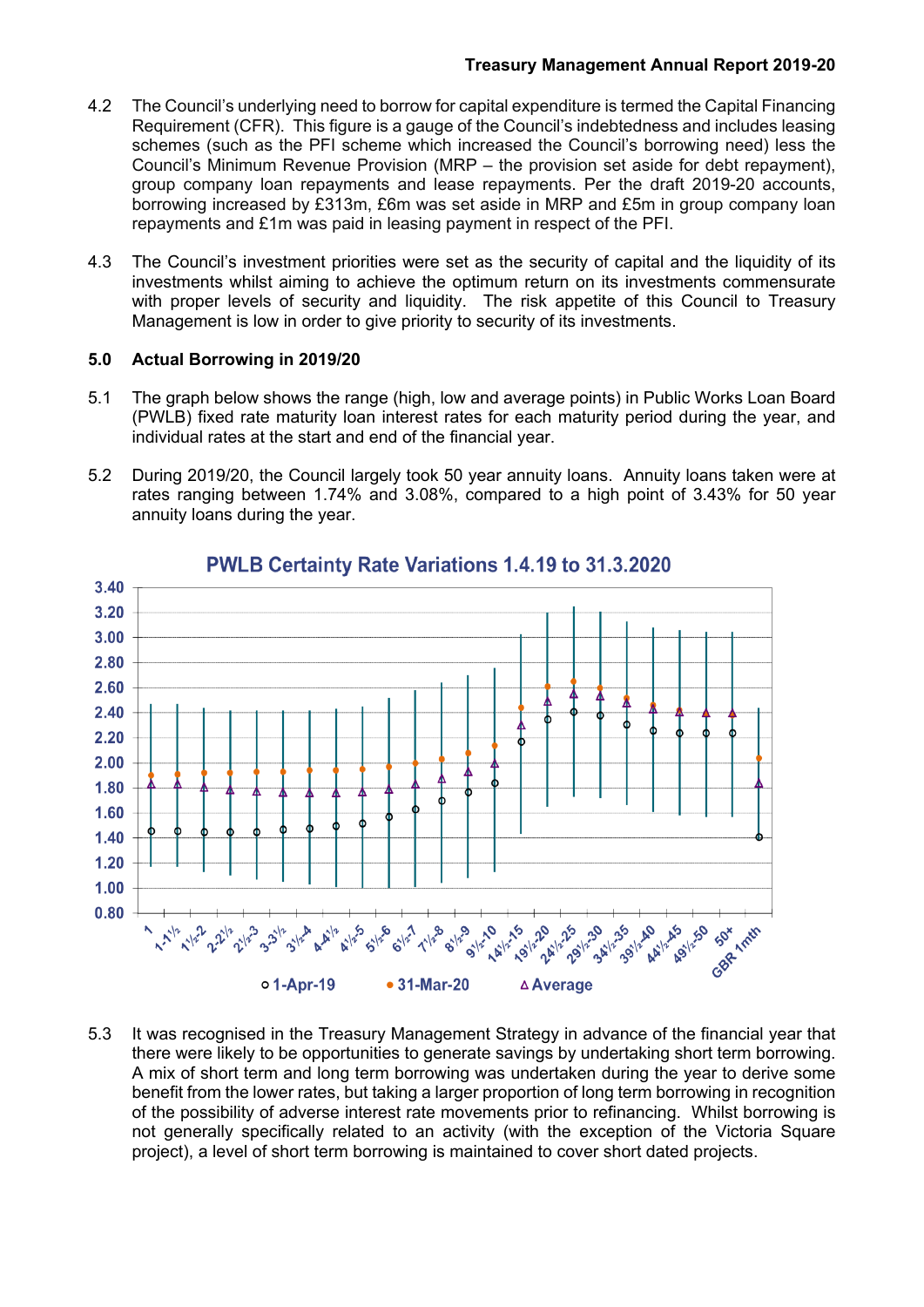- 4.2 The Council's underlying need to borrow for capital expenditure is termed the Capital Financing Requirement (CFR). This figure is a gauge of the Council's indebtedness and includes leasing schemes (such as the PFI scheme which increased the Council's borrowing need) less the Council's Minimum Revenue Provision (MRP – the provision set aside for debt repayment), group company loan repayments and lease repayments. Per the draft 2019-20 accounts, borrowing increased by £313m, £6m was set aside in MRP and £5m in group company loan repayments and £1m was paid in leasing payment in respect of the PFI.
- 4.3 The Council's investment priorities were set as the security of capital and the liquidity of its investments whilst aiming to achieve the optimum return on its investments commensurate with proper levels of security and liquidity. The risk appetite of this Council to Treasury Management is low in order to give priority to security of its investments.

## **5.0 Actual Borrowing in 2019/20**

- 5.1 The graph below shows the range (high, low and average points) in Public Works Loan Board (PWLB) fixed rate maturity loan interest rates for each maturity period during the year, and individual rates at the start and end of the financial year.
- 5.2 During 2019/20, the Council largely took 50 year annuity loans. Annuity loans taken were at rates ranging between 1.74% and 3.08%, compared to a high point of 3.43% for 50 year annuity loans during the year.



# PWLB Certainty Rate Variations 1.4.19 to 31.3.2020

5.3 It was recognised in the Treasury Management Strategy in advance of the financial year that there were likely to be opportunities to generate savings by undertaking short term borrowing. A mix of short term and long term borrowing was undertaken during the year to derive some benefit from the lower rates, but taking a larger proportion of long term borrowing in recognition of the possibility of adverse interest rate movements prior to refinancing. Whilst borrowing is not generally specifically related to an activity (with the exception of the Victoria Square project), a level of short term borrowing is maintained to cover short dated projects.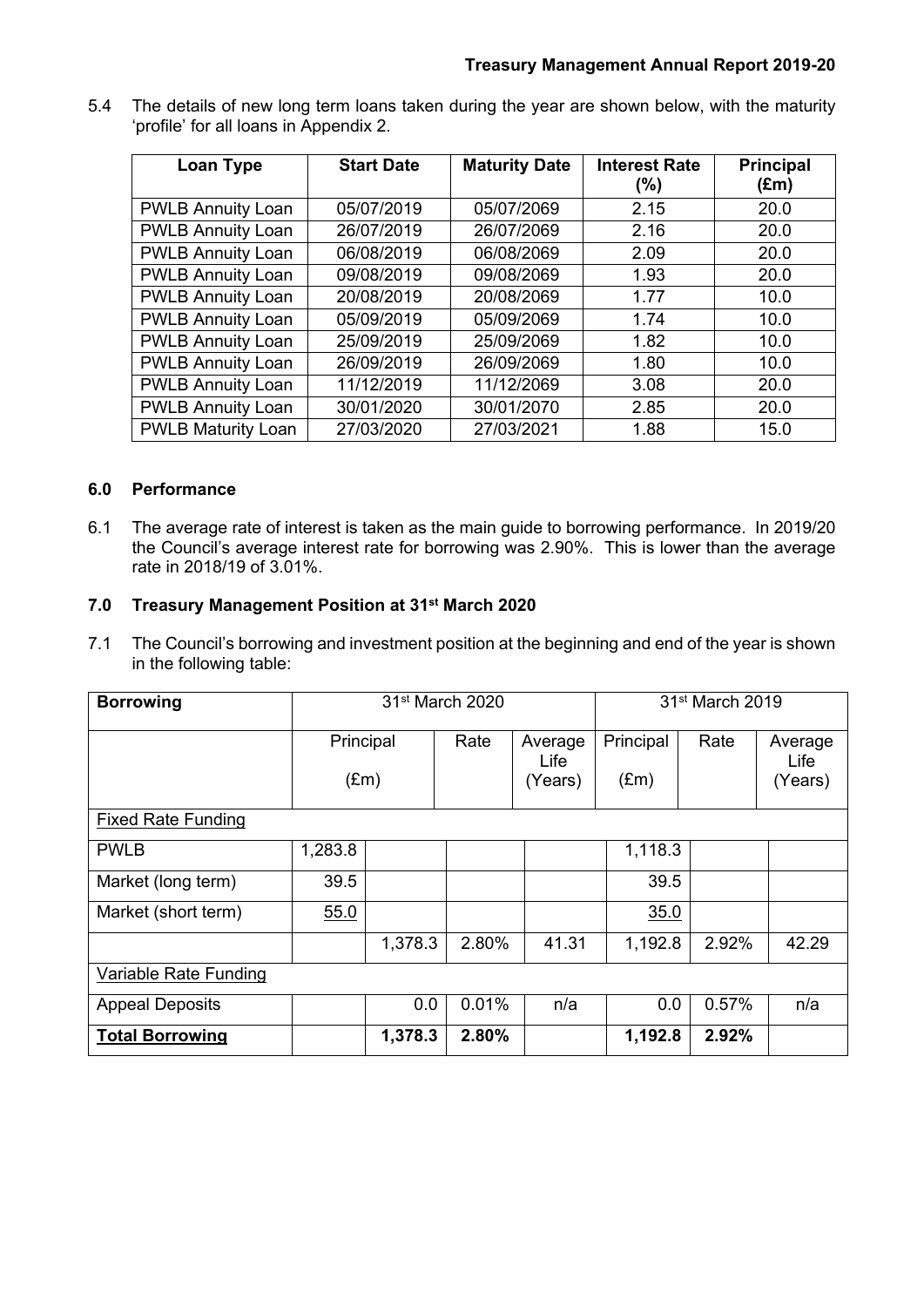5.4 The details of new long term loans taken during the year are shown below, with the maturity 'profile' for all loans in Appendix 2.

| Loan Type                 | <b>Start Date</b> | <b>Maturity Date</b> | <b>Interest Rate</b><br>(%) | <b>Principal</b><br>$(\text{Em})$ |
|---------------------------|-------------------|----------------------|-----------------------------|-----------------------------------|
| <b>PWLB Annuity Loan</b>  | 05/07/2019        | 05/07/2069           | 2.15                        | 20.0                              |
| <b>PWLB Annuity Loan</b>  | 26/07/2019        | 26/07/2069           | 2.16                        | 20.0                              |
| <b>PWLB Annuity Loan</b>  | 06/08/2019        | 06/08/2069           | 2.09                        | 20.0                              |
| <b>PWLB Annuity Loan</b>  | 09/08/2019        | 09/08/2069           | 1.93                        | 20.0                              |
| <b>PWLB Annuity Loan</b>  | 20/08/2019        | 20/08/2069           | 1.77                        | 10.0                              |
| <b>PWLB Annuity Loan</b>  | 05/09/2019        | 05/09/2069           | 1.74                        | 10.0                              |
| <b>PWLB Annuity Loan</b>  | 25/09/2019        | 25/09/2069           | 1.82                        | 10.0                              |
| <b>PWLB Annuity Loan</b>  | 26/09/2019        | 26/09/2069           | 1.80                        | 10.0                              |
| <b>PWLB Annuity Loan</b>  | 11/12/2019        | 11/12/2069           | 3.08                        | 20.0                              |
| <b>PWLB Annuity Loan</b>  | 30/01/2020        | 30/01/2070           | 2.85                        | 20.0                              |
| <b>PWLB Maturity Loan</b> | 27/03/2020        | 27/03/2021           | 1.88                        | 15.0                              |

## **6.0 Performance**

6.1 The average rate of interest is taken as the main guide to borrowing performance. In 2019/20 the Council's average interest rate for borrowing was 2.90%. This is lower than the average rate in 2018/19 of 3.01%.

# **7.0 Treasury Management Position at 31st March 2020**

7.1 The Council's borrowing and investment position at the beginning and end of the year is shown in the following table:

| <b>Borrowing</b>          | 31 <sup>st</sup> March 2020 |         |       | 31 <sup>st</sup> March 2019 |                            |       |                            |
|---------------------------|-----------------------------|---------|-------|-----------------------------|----------------------------|-------|----------------------------|
|                           | Principal<br>$(\text{Em})$  |         | Rate  | Average<br>Life<br>(Years)  | Principal<br>$(\text{Em})$ | Rate  | Average<br>Life<br>(Years) |
| <b>Fixed Rate Funding</b> |                             |         |       |                             |                            |       |                            |
| <b>PWLB</b>               | 1,283.8                     |         |       |                             | 1,118.3                    |       |                            |
| Market (long term)        | 39.5                        |         |       |                             | 39.5                       |       |                            |
| Market (short term)       | 55.0                        |         |       |                             | 35.0                       |       |                            |
|                           |                             | 1,378.3 | 2.80% | 41.31                       | 1,192.8                    | 2.92% | 42.29                      |
| Variable Rate Funding     |                             |         |       |                             |                            |       |                            |
| <b>Appeal Deposits</b>    |                             | 0.0     | 0.01% | n/a                         | 0.0                        | 0.57% | n/a                        |
| <b>Total Borrowing</b>    |                             | 1,378.3 | 2.80% |                             | 1,192.8                    | 2.92% |                            |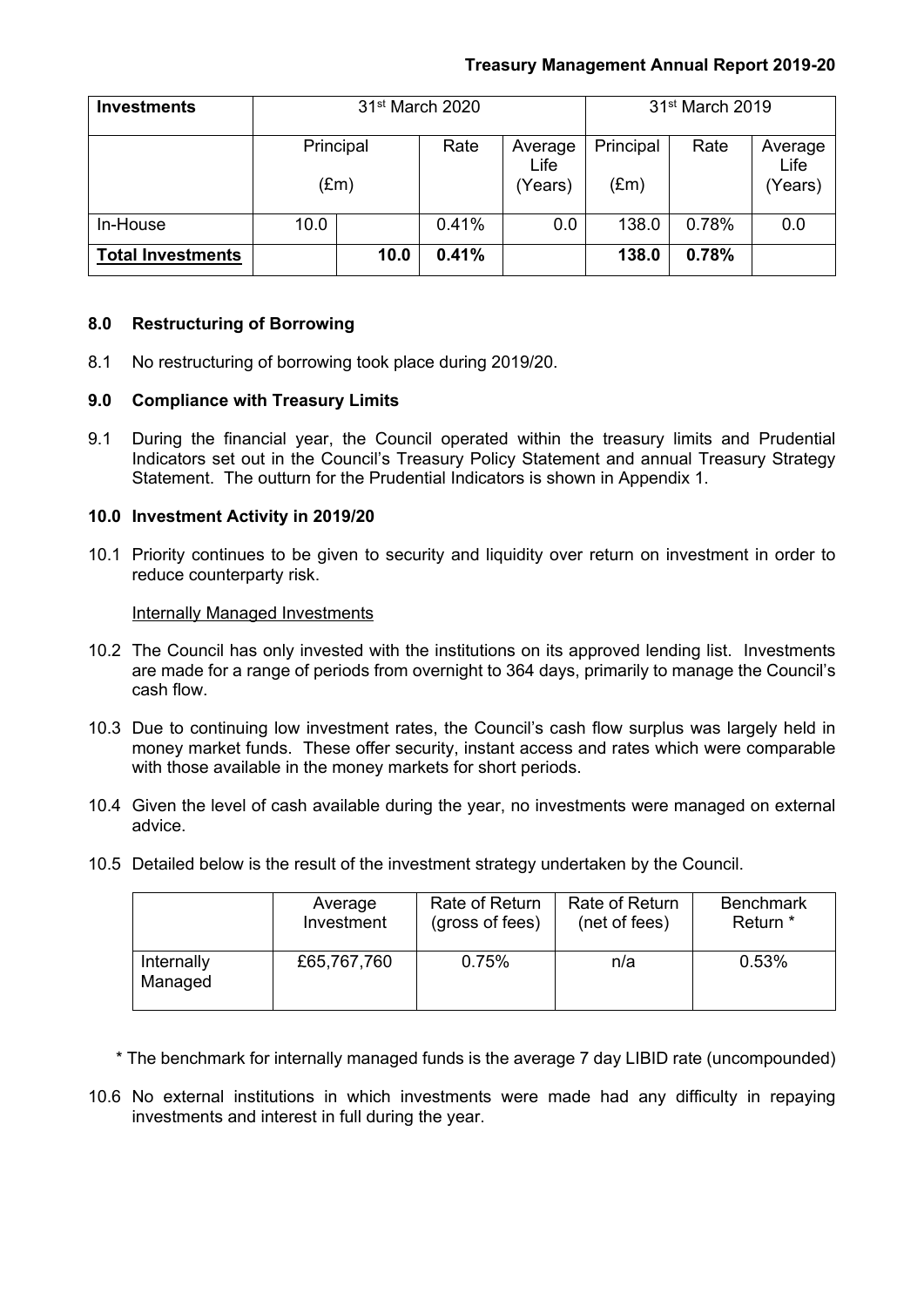# **Treasury Management Annual Report 2019-20**

| <b>Investments</b>       | 31 <sup>st</sup> March 2020 |               |       |                            | 31 <sup>st</sup> March 2019 |       |                            |
|--------------------------|-----------------------------|---------------|-------|----------------------------|-----------------------------|-------|----------------------------|
|                          | Principal                   | $(\text{Em})$ | Rate  | Average<br>Life<br>(Years) | Principal<br>$(\text{Em})$  | Rate  | Average<br>Life<br>(Years) |
| In-House                 | 10.0                        |               | 0.41% | 0.0                        | 138.0                       | 0.78% | 0.0                        |
| <b>Total Investments</b> |                             | 10.0          | 0.41% |                            | 138.0                       | 0.78% |                            |

### **8.0 Restructuring of Borrowing**

8.1 No restructuring of borrowing took place during 2019/20.

### **9.0 Compliance with Treasury Limits**

9.1 During the financial year, the Council operated within the treasury limits and Prudential Indicators set out in the Council's Treasury Policy Statement and annual Treasury Strategy Statement. The outturn for the Prudential Indicators is shown in Appendix 1.

### **10.0 Investment Activity in 2019/20**

10.1 Priority continues to be given to security and liquidity over return on investment in order to reduce counterparty risk.

#### Internally Managed Investments

- 10.2 The Council has only invested with the institutions on its approved lending list. Investments are made for a range of periods from overnight to 364 days, primarily to manage the Council's cash flow.
- 10.3 Due to continuing low investment rates, the Council's cash flow surplus was largely held in money market funds. These offer security, instant access and rates which were comparable with those available in the money markets for short periods.
- 10.4 Given the level of cash available during the year, no investments were managed on external advice.
- 10.5 Detailed below is the result of the investment strategy undertaken by the Council.

|                       | Average     | Rate of Return  | Rate of Return | <b>Benchmark</b> |
|-----------------------|-------------|-----------------|----------------|------------------|
|                       | Investment  | (gross of fees) | (net of fees)  | Return *         |
| Internally<br>Managed | £65,767,760 | 0.75%           | n/a            | 0.53%            |

\* The benchmark for internally managed funds is the average 7 day LIBID rate (uncompounded)

10.6 No external institutions in which investments were made had any difficulty in repaying investments and interest in full during the year.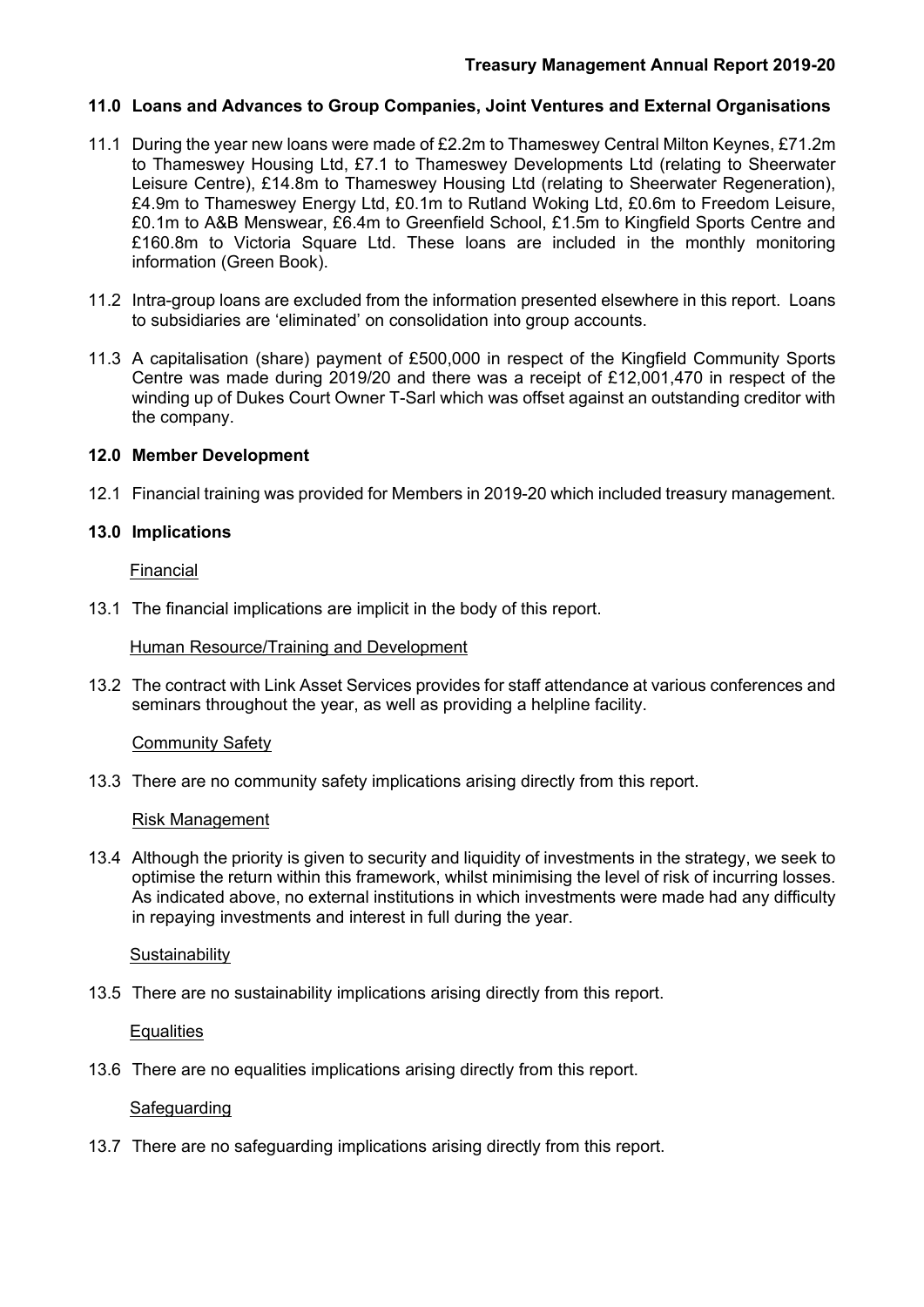# **11.0 Loans and Advances to Group Companies, Joint Ventures and External Organisations**

- 11.1 During the year new loans were made of £2.2m to Thameswey Central Milton Keynes, £71.2m to Thameswey Housing Ltd, £7.1 to Thameswey Developments Ltd (relating to Sheerwater Leisure Centre), £14.8m to Thameswey Housing Ltd (relating to Sheerwater Regeneration), £4.9m to Thameswey Energy Ltd, £0.1m to Rutland Woking Ltd, £0.6m to Freedom Leisure, £0.1m to A&B Menswear, £6.4m to Greenfield School, £1.5m to Kingfield Sports Centre and £160.8m to Victoria Square Ltd. These loans are included in the monthly monitoring information (Green Book).
- 11.2 Intra-group loans are excluded from the information presented elsewhere in this report. Loans to subsidiaries are 'eliminated' on consolidation into group accounts.
- 11.3 A capitalisation (share) payment of £500,000 in respect of the Kingfield Community Sports Centre was made during 2019/20 and there was a receipt of £12,001,470 in respect of the winding up of Dukes Court Owner T-Sarl which was offset against an outstanding creditor with the company.

## **12.0 Member Development**

12.1 Financial training was provided for Members in 2019-20 which included treasury management.

## **13.0 Implications**

Financial

13.1 The financial implications are implicit in the body of this report.

### Human Resource/Training and Development

13.2 The contract with Link Asset Services provides for staff attendance at various conferences and seminars throughout the year, as well as providing a helpline facility.

#### Community Safety

13.3 There are no community safety implications arising directly from this report.

#### Risk Management

13.4 Although the priority is given to security and liquidity of investments in the strategy, we seek to optimise the return within this framework, whilst minimising the level of risk of incurring losses. As indicated above, no external institutions in which investments were made had any difficulty in repaying investments and interest in full during the year.

#### **Sustainability**

13.5 There are no sustainability implications arising directly from this report.

## **Equalities**

13.6 There are no equalities implications arising directly from this report.

## Safeguarding

13.7 There are no safeguarding implications arising directly from this report.